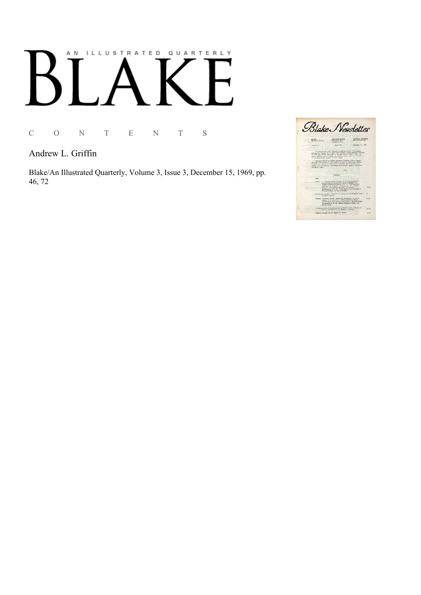## AN ILLUSTRATED QUARTERLY

C O N T E N T S

Andrew L. Griffin

Blake/An Illustrated Quarterly, Volume 3, Issue 3, December 15, 1969, pp. 46, 72

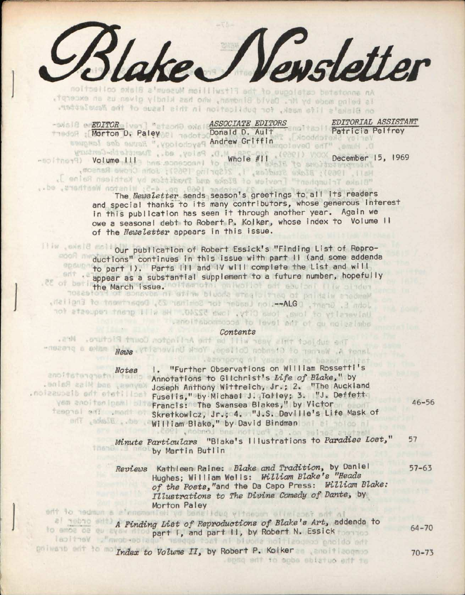*&ldtexJ\/e»sletter*  is being made by Mr. David Bindman, who has kindly given us an excerpt, on Blake's life mask, for publication in this issue of the Newsletter.

**EDITOR ASSOCIATE EDITORS** EDITORIAL ASSISTANT **ASSISTANT** Donald D. Ault Patricia Pelfrey Thedox Morton D. Paley and Todat Donald D. Ault Patricia Andrew Gri ffin

Volume III whole #11 December 15, 1969<br>All December 15, 1969 "Blake Triumphant" [review of Blake and Trudition by Kathleen Raine ],

The *Newsletter* sends season's greetings to all its readers and special thanks to its many contributors, whose generous interest in this publication has seen it through another year. Again we owe a seasonal debt to Robert P. Kolker, whose index to Volume II of the *Newsletter* appears in this issue.

Illiw exside to lour publication of Robert Essick's "Finding List of Reproductions" continues in this issue with part II (and some addenda opaus to part I). Parts III and IV will complete the List and will **appear as a substantial supplement to a future number, hopefully** the March Issue. In the chlowing include the March issue.

John E. Grant, D**JA-**Lon Leader for Schinar 23, Department of English,<br>University of lowa, lowa City, lowe 52240. He will grant requests for the Tuanolitabonmosse to level ant of gu noiselabs

Contents . Stutted Plan Content Count Plant tooldus on Janet A. Warner of Ctendon College, York University, away wike a presenentran leastgong of youzo no no beand noltet

Koynes, and Hiss Raine. facilitate the discussion.

*Notes* 1. "Further Observations on William Rossetti's<br>Annotations to Gilchrist's *Life of Blake*," by Annotations to Gilchrist's *Life of Blake,"* by Joseph Anthony Wittreich, Jr.; 2. "The Auckland Fuselis," by Michael J. Tolley; 3. "J. Deffett. yem anoiteningemi bli Francis: The Swansea Blakes," by Victor 46-56 Skretkowicz, Jr.; 4. "J.S. Devi lie's Life Mask of William Blake," by David Bindman

*Minute Particulars* "Blake's Illustrations to *Paradise Lost,"* 57 by Martin But I in

*Reviews* Kathleen Raine: *Blake and Tradition,* by Daniel 57-63 Hughes; WiI Iiam Wei Is: *William Blake's "Heads of the Poets,"and* the Da Capo Press: *William Blake: Illustrations to The Divine Comedy of Dante,* by Morton Paley<br>ent to nedmun a a'omenen wil yo benefidug vitnesen elimisost odt al

*A Finding List of Reproductions of Blake's Art,* addenda to part I, and part II, by Robert N. Essick thermal batpolicant ont to molder to Volume II, by Robert P. Kolker and the component 10-73